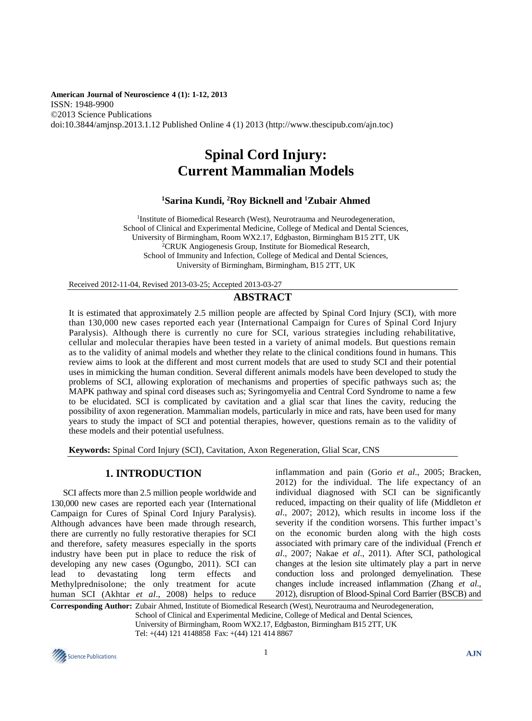**American Journal of Neuroscience 4 (1): 1-12, 2013** ISSN: 1948-9900 ©2013 Science Publications doi:10.3844/amjnsp.2013.1.12 Published Online 4 (1) 2013 (http://www.thescipub.com/ajn.toc)

# **Spinal Cord Injury: Current Mammalian Models**

# **<sup>1</sup>Sarina Kundi, <sup>2</sup>Roy Bicknell and <sup>1</sup>Zubair Ahmed**

<sup>1</sup>Institute of Biomedical Research (West), Neurotrauma and Neurodegeneration, School of Clinical and Experimental Medicine, College of Medical and Dental Sciences, University of Birmingham, Room WX2.17, Edgbaston, Birmingham B15 2TT, UK <sup>2</sup>CRUK Angiogenesis Group, Institute for Biomedical Research, School of Immunity and Infection, College of Medical and Dental Sciences, University of Birmingham, Birmingham, B15 2TT, UK

Received 2012-11-04, Revised 2013-03-25; Accepted 2013-03-27

# **ABSTRACT**

It is estimated that approximately 2.5 million people are affected by Spinal Cord Injury (SCI), with more than 130,000 new cases reported each year (International Campaign for Cures of Spinal Cord Injury Paralysis). Although there is currently no cure for SCI, various strategies including rehabilitative, cellular and molecular therapies have been tested in a variety of animal models. But questions remain as to the validity of animal models and whether they relate to the clinical conditions found in humans. This review aims to look at the different and most current models that are used to study SCI and their potential uses in mimicking the human condition. Several different animals models have been developed to study the problems of SCI, allowing exploration of mechanisms and properties of specific pathways such as; the MAPK pathway and spinal cord diseases such as; Syringomyelia and Central Cord Syndrome to name a few to be elucidated. SCI is complicated by cavitation and a glial scar that lines the cavity, reducing the possibility of axon regeneration. Mammalian models, particularly in mice and rats, have been used for many years to study the impact of SCI and potential therapies, however, questions remain as to the validity of these models and their potential usefulness.

**Keywords:** Spinal Cord Injury (SCI), Cavitation, Axon Regeneration, Glial Scar, CNS

# **1. INTRODUCTION**

SCI affects more than 2.5 million people worldwide and 130,000 new cases are reported each year (International Campaign for Cures of Spinal Cord Injury Paralysis). Although advances have been made through research, there are currently no fully restorative therapies for SCI and therefore, safety measures especially in the sports industry have been put in place to reduce the risk of developing any new cases (Ogungbo, 2011). SCI can lead to devastating long term effects and Methylprednisolone; the only treatment for acute human SCI (Akhtar *et al*., 2008) helps to reduce inflammation and pain (Gorio *et al*., 2005; Bracken, 2012) for the individual. The life expectancy of an individual diagnosed with SCI can be significantly reduced, impacting on their quality of life (Middleton *et al*., 2007; 2012), which results in income loss if the severity if the condition worsens. This further impact's on the economic burden along with the high costs associated with primary care of the individual (French *et al*., 2007; Nakae *et al*., 2011). After SCI, pathological changes at the lesion site ultimately play a part in nerve conduction loss and prolonged demyelination. These changes include increased inflammation (Zhang *et al*., 2012), disruption of Blood-Spinal Cord Barrier (BSCB) and

**Corresponding Author:** Zubair Ahmed, Institute of Biomedical Research (West), Neurotrauma and Neurodegeneration, School of Clinical and Experimental Medicine, College of Medical and Dental Sciences, University of Birmingham, Room WX2.17, Edgbaston, Birmingham B15 2TT, UK Tel: +(44) 121 4148858 Fax: +(44) 121 414 8867

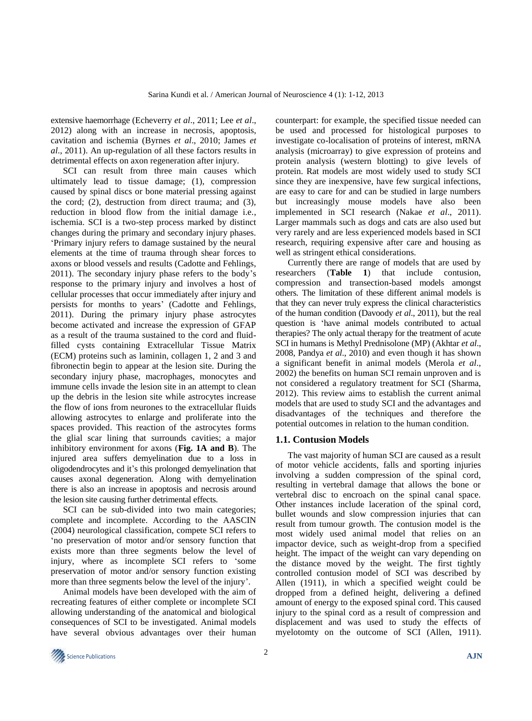extensive haemorrhage (Echeverry *et al*., 2011; Lee *et al*., 2012) along with an increase in necrosis, apoptosis, cavitation and ischemia (Byrnes *et al*., 2010; James *et al*., 2011). An up-regulation of all these factors results in detrimental effects on axon regeneration after injury.

SCI can result from three main causes which ultimately lead to tissue damage; (1), compression caused by spinal discs or bone material pressing against the cord; (2), destruction from direct trauma; and (3), reduction in blood flow from the initial damage i.e., ischemia. SCI is a two-step process marked by distinct changes during the primary and secondary injury phases. 'Primary injury refers to damage sustained by the neural elements at the time of trauma through shear forces to axons or blood vessels and results (Cadotte and Fehlings, 2011). The secondary injury phase refers to the body's response to the primary injury and involves a host of cellular processes that occur immediately after injury and persists for months to years' (Cadotte and Fehlings, 2011). During the primary injury phase astrocytes become activated and increase the expression of GFAP as a result of the trauma sustained to the cord and fluidfilled cysts containing Extracellular Tissue Matrix (ECM) proteins such as laminin, collagen 1, 2 and 3 and fibronectin begin to appear at the lesion site. During the secondary injury phase, macrophages, monocytes and immune cells invade the lesion site in an attempt to clean up the debris in the lesion site while astrocytes increase the flow of ions from neurones to the extracellular fluids allowing astrocytes to enlarge and proliferate into the spaces provided. This reaction of the astrocytes forms the glial scar lining that surrounds cavities; a major inhibitory environment for axons (**Fig. 1A and B**). The injured area suffers demyelination due to a loss in oligodendrocytes and it's this prolonged demyelination that causes axonal degeneration. Along with demyelination there is also an increase in apoptosis and necrosis around the lesion site causing further detrimental effects.

SCI can be sub-divided into two main categories; complete and incomplete. According to the AASCIN (2004) neurological classification, compete SCI refers to 'no preservation of motor and/or sensory function that exists more than three segments below the level of injury, where as incomplete SCI refers to 'some preservation of motor and/or sensory function existing more than three segments below the level of the injury'.

Animal models have been developed with the aim of recreating features of either complete or incomplete SCI allowing understanding of the anatomical and biological consequences of SCI to be investigated. Animal models have several obvious advantages over their human

counterpart: for example, the specified tissue needed can be used and processed for histological purposes to investigate co-localisation of proteins of interest, mRNA analysis (microarray) to give expression of proteins and protein analysis (western blotting) to give levels of protein. Rat models are most widely used to study SCI since they are inexpensive, have few surgical infections, are easy to care for and can be studied in large numbers but increasingly mouse models have also been implemented in SCI research (Nakae *et al*., 2011). Larger mammals such as dogs and cats are also used but very rarely and are less experienced models based in SCI research, requiring expensive after care and housing as well as stringent ethical considerations.

Currently there are range of models that are used by researchers (**Table 1**) that include contusion, compression and transection-based models amongst others. The limitation of these different animal models is that they can never truly express the clinical characteristics of the human condition (Davoody *et al*., 2011), but the real question is 'have animal models contributed to actual therapies? The only actual therapy for the treatment of acute SCI in humans is Methyl Prednisolone (MP) (Akhtar *et al*., 2008, Pandya *et al*., 2010) and even though it has shown a significant benefit in animal models (Merola *et al*., 2002) the benefits on human SCI remain unproven and is not considered a regulatory treatment for SCI (Sharma, 2012). This review aims to establish the current animal models that are used to study SCI and the advantages and disadvantages of the techniques and therefore the potential outcomes in relation to the human condition.

#### **1.1. Contusion Models**

The vast majority of human SCI are caused as a result of motor vehicle accidents, falls and sporting injuries involving a sudden compression of the spinal cord, resulting in vertebral damage that allows the bone or vertebral disc to encroach on the spinal canal space. Other instances include laceration of the spinal cord, bullet wounds and slow compression injuries that can result from tumour growth. The contusion model is the most widely used animal model that relies on an impactor device, such as weight-drop from a specified height. The impact of the weight can vary depending on the distance moved by the weight. The first tightly controlled contusion model of SCI was described by Allen (1911), in which a specified weight could be dropped from a defined height, delivering a defined amount of energy to the exposed spinal cord. This caused injury to the spinal cord as a result of compression and displacement and was used to study the effects of myelotomty on the outcome of SCI (Allen, 1911).

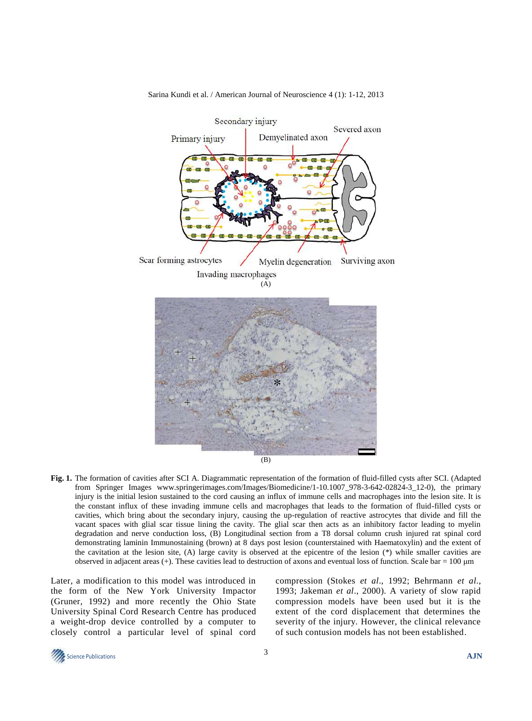

#### Sarina Kundi et al. / American Journal of Neuroscience 4 (1): 1-12, 2013

**Fig. 1.** The formation of cavities after SCI A. Diagrammatic representation of the formation of fluid-filled cysts after SCI. (Adapted from Springer Images [www.springerimages.com/Images/Biomedicine/1-10.1007\\_978-3](http://www.springerimages.com/Images/Biomedicine/1-10.1007_978-)-642-02824-3\_12-0), the primary injury is the initial lesion sustained to the cord causing an influx of immune cells and macrophages into the lesion site. It is the constant influx of these invading immune cells and macrophages that leads to the formation of fluid-filled cysts or cavities, which bring about the secondary injury, causing the up-regulation of reactive astrocytes that divide and fill the vacant spaces with glial scar tissue lining the cavity. The glial scar then acts as an inhibitory factor leading to myelin degradation and nerve conduction loss, (B) Longitudinal section from a T8 dorsal column crush injured rat spinal cord demonstrating laminin Immunostaining (brown) at 8 days post lesion (counterstained with Haematoxylin) and the extent of the cavitation at the lesion site, (A) large cavity is observed at the epicentre of the lesion (\*) while smaller cavities are observed in adjacent areas  $(+)$ . These cavities lead to destruction of axons and eventual loss of function. Scale bar = 100  $\mu$ m

Later, a modification to this model was introduced in the form of the New York University Impactor (Gruner, 1992) and more recently the Ohio State University Spinal Cord Research Centre has produced a weight-drop device controlled by a computer to closely control a particular level of spinal cord compression (Stokes *et al*., 1992; Behrmann *et al*., 1993; Jakeman *et al*., 2000). A variety of slow rapid compression models have been used but it is the extent of the cord displacement that determines the severity of the injury. However, the clinical relevance of such contusion models has not been established.

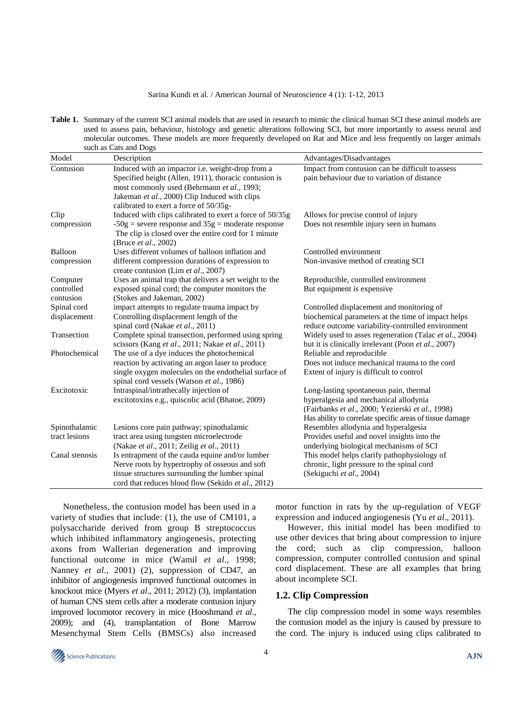#### Sarina Kundi et al. / American Journal of Neuroscience 4 (1): 1-12, 2013

**Table 1.** Summary of the current SCI animal models that are used in research to mimic the clinical human SCI these animal models are used to assess pain, behaviour, histology and genetic alterations following SCI, but more importantly to assess neural and molecular outcomes. These models are more frequently developed on Rat and Mice and less frequently on larger animals such as Cats and Dogs

| Impact from contusion can be difficult to assess                           |                                         |
|----------------------------------------------------------------------------|-----------------------------------------|
|                                                                            |                                         |
| pain behaviour due to variation of distance                                |                                         |
|                                                                            | Allows for precise control of injury    |
|                                                                            | Does not resemble injury seen in humans |
|                                                                            |                                         |
| Controlled environment                                                     |                                         |
| Non-invasive method of creating SCI                                        |                                         |
|                                                                            |                                         |
| Reproducible, controlled environment                                       |                                         |
| But equipment is expensive                                                 |                                         |
|                                                                            |                                         |
| Controlled displacement and monitoring of                                  |                                         |
| biochemical parameters at the time of impact helps                         |                                         |
| reduce outcome variability-controlled environment                          |                                         |
| Widely used to asses regeneration (Talac et al., 2004)                     |                                         |
| but it is clinically irrelevant (Poon et al., 2007)                        |                                         |
| Reliable and reproducible<br>Does not induce mechanical trauma to the cord |                                         |
|                                                                            |                                         |
| Extent of injury is difficult to control                                   |                                         |
| Long-lasting spontaneous pain, thermal                                     |                                         |
| hyperalgesia and mechanical allodynia                                      |                                         |
| (Fairbanks et al., 2000; Yezierski et al., 1998)                           |                                         |
| Has ability to correlate specific areas of tissue damage                   |                                         |
| Resembles allodynia and hyperalgesia                                       |                                         |
| Provides useful and novel insights into the                                |                                         |
| underlying biological mechanisms of SCI                                    |                                         |
| This model helps clarify pathophysiology of                                |                                         |
| chronic, light pressure to the spinal cord                                 |                                         |
| (Sekiguchi et al., 2004)                                                   |                                         |
|                                                                            |                                         |

Nonetheless, the contusion model has been used in a variety of studies that include: (1), the use of CM101, a polysaccharide derived from group B streptococcus which inhibited inflammatory angiogenesis, protecting axons from Wallerian degeneration and improving functional outcome in mice (Wamil *et al*., 1998; Nanney *et al*., 2001) (2), suppression of CD47, an inhibitor of angiogenesis improved functional outcomes in knockout mice (Myers *et al*., 2011; 2012) (3), implantation of human CNS stem cells after a moderate contusion injury improved locomotor recovery in mice (Hooshmand *et al*., 2009); and (4), transplantation of Bone Marrow Mesenchymal Stem Cells (BMSCs) also increased motor function in rats by the up-regulation of VEGF expression and induced angiogenesis (Yu *et al*., 2011).

However, this initial model has been modified to use other devices that bring about compression to injure the cord; such as clip compression, balloon compression, computer controlled contusion and spinal cord displacement. These are all examples that bring about incomplete SCI.

#### **1.2. Clip Compression**

The clip compression model in some ways resembles the contusion model as the injury is caused by pressure to the cord. The injury is induced using clips calibrated to

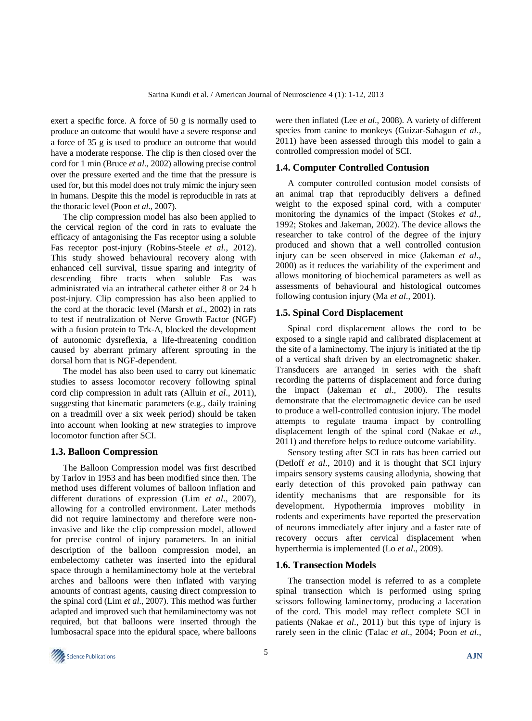exert a specific force. A force of 50 g is normally used to produce an outcome that would have a severe response and a force of 35 g is used to produce an outcome that would have a moderate response. The clip is then closed over the cord for 1 min (Bruce *et al*., 2002) allowing precise control over the pressure exerted and the time that the pressure is used for, but this model does not truly mimic the injury seen in humans. Despite this the model is reproducible in rats at the thoracic level (Poon *et al*., 2007).

The clip compression model has also been applied to the cervical region of the cord in rats to evaluate the efficacy of antagonising the Fas receptor using a soluble Fas receptor post-injury (Robins-Steele *et al*., 2012). This study showed behavioural recovery along with enhanced cell survival, tissue sparing and integrity of descending fibre tracts when soluble Fas was administrated via an intrathecal catheter either 8 or 24 h post-injury. Clip compression has also been applied to the cord at the thoracic level (Marsh *et al*., 2002) in rats to test if neutralization of Nerve Growth Factor (NGF) with a fusion protein to Trk-A, blocked the development of autonomic dysreflexia, a life-threatening condition caused by aberrant primary afferent sprouting in the dorsal horn that is NGF-dependent.

The model has also been used to carry out kinematic studies to assess locomotor recovery following spinal cord clip compression in adult rats (Alluin *et al*., 2011), suggesting that kinematic parameters (e.g., daily training on a treadmill over a six week period) should be taken into account when looking at new strategies to improve locomotor function after SCI.

#### **1.3. Balloon Compression**

The Balloon Compression model was first described by Tarlov in 1953 and has been modified since then. The method uses different volumes of balloon inflation and different durations of expression (Lim *et al*., 2007), allowing for a controlled environment. Later methods did not require laminectomy and therefore were noninvasive and like the clip compression model, allowed for precise control of injury parameters. In an initial description of the balloon compression model, an embelectomy catheter was inserted into the epidural space through a hemilaminectomy hole at the vertebral arches and balloons were then inflated with varying amounts of contrast agents, causing direct compression to the spinal cord (Lim *et al*., 2007). This method was further adapted and improved such that hemilaminectomy was not required, but that balloons were inserted through the lumbosacral space into the epidural space, where balloons were then inflated (Lee *et al*., 2008). A variety of different species from canine to monkeys (Guizar-Sahagun *et al*., 2011) have been assessed through this model to gain a controlled compression model of SCI.

#### **1.4. Computer Controlled Contusion**

A computer controlled contusion model consists of an animal trap that reproducibly delivers a defined weight to the exposed spinal cord, with a computer monitoring the dynamics of the impact (Stokes *et al*., 1992; Stokes and Jakeman, 2002). The device allows the researcher to take control of the degree of the injury produced and shown that a well controlled contusion injury can be seen observed in mice (Jakeman *et al*., 2000) as it reduces the variability of the experiment and allows monitoring of biochemical parameters as well as assessments of behavioural and histological outcomes following contusion injury (Ma *et al*., 2001).

#### **1.5. Spinal Cord Displacement**

Spinal cord displacement allows the cord to be exposed to a single rapid and calibrated displacement at the site of a laminectomy. The injury is initiated at the tip of a vertical shaft driven by an electromagnetic shaker. Transducers are arranged in series with the shaft recording the patterns of displacement and force during the impact (Jakeman *et al*., 2000). The results demonstrate that the electromagnetic device can be used to produce a well-controlled contusion injury. The model attempts to regulate trauma impact by controlling displacement length of the spinal cord (Nakae *et al*., 2011) and therefore helps to reduce outcome variability.

Sensory testing after SCI in rats has been carried out (Detloff *et al*., 2010) and it is thought that SCI injury impairs sensory systems causing allodynia, showing that early detection of this provoked pain pathway can identify mechanisms that are responsible for its development. Hypothermia improves mobility in rodents and experiments have reported the preservation of neurons immediately after injury and a faster rate of recovery occurs after cervical displacement when hyperthermia is implemented (Lo *et al*., 2009).

## **1.6. Transection Models**

The transection model is referred to as a complete spinal transection which is performed using spring scissors following laminectomy, producing a laceration of the cord. This model may reflect complete SCI in patients (Nakae *et al*., 2011) but this type of injury is rarely seen in the clinic (Talac *et al*., 2004; Poon *et al*.,

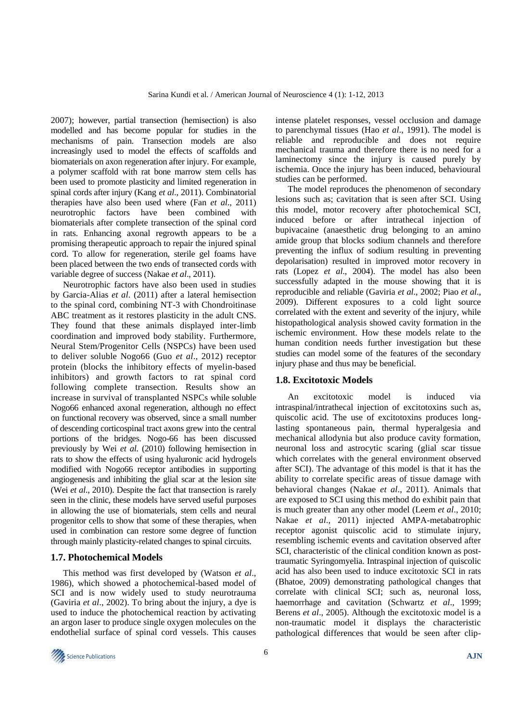2007); however, partial transection (hemisection) is also modelled and has become popular for studies in the mechanisms of pain. Transection models are also increasingly used to model the effects of scaffolds and biomaterials on axon regeneration after injury. For example, a polymer scaffold with rat bone marrow stem cells has been used to promote plasticity and limited regeneration in spinal cords after injury (Kang *et al*., 2011). Combinatorial therapies have also been used where (Fan *et al*., 2011) neurotrophic factors have been combined with biomaterials after complete transection of the spinal cord in rats. Enhancing axonal regrowth appears to be a promising therapeutic approach to repair the injured spinal cord. To allow for regeneration, sterile gel foams have been placed between the two ends of transected cords with variable degree of success (Nakae *et al*., 2011).

Neurotrophic factors have also been used in studies by Garcia-Alias *et al*. (2011) after a lateral hemisection to the spinal cord, combining NT-3 with Chondroitinase ABC treatment as it restores plasticity in the adult CNS. They found that these animals displayed inter-limb coordination and improved body stability. Furthermore, Neural Stem/Progenitor Cells (NSPCs) have been used to deliver soluble Nogo66 (Guo *et al*., 2012) receptor protein (blocks the inhibitory effects of myelin-based inhibitors) and growth factors to rat spinal cord following complete transection. Results show an increase in survival of transplanted NSPCs while soluble Nogo66 enhanced axonal regeneration, although no effect on functional recovery was observed, since a small number of descending corticospinal tract axons grew into the central portions of the bridges. Nogo-66 has been discussed previously by Wei *et al*. (2010) following hemisection in rats to show the effects of using hyaluronic acid hydrogels modified with Nogo66 receptor antibodies in supporting angiogenesis and inhibiting the glial scar at the lesion site (Wei *et al*., 2010). Despite the fact that transection is rarely seen in the clinic, these models have served useful purposes in allowing the use of biomaterials, stem cells and neural progenitor cells to show that some of these therapies, when used in combination can restore some degree of function through mainly plasticity-related changes to spinal circuits.

## **1.7. Photochemical Models**

This method was first developed by (Watson *et al*., 1986), which showed a photochemical-based model of SCI and is now widely used to study neurotrauma (Gaviria *et al*., 2002). To bring about the injury, a dye is used to induce the photochemical reaction by activating an argon laser to produce single oxygen molecules on the endothelial surface of spinal cord vessels. This causes

intense platelet responses, vessel occlusion and damage to parenchymal tissues (Hao *et al*., 1991). The model is reliable and reproducible and does not require mechanical trauma and therefore there is no need for a laminectomy since the injury is caused purely by ischemia. Once the injury has been induced, behavioural studies can be performed.

The model reproduces the phenomenon of secondary lesions such as; cavitation that is seen after SCI. Using this model, motor recovery after photochemical SCI, induced before or after intrathecal injection of bupivacaine (anaesthetic drug belonging to an amino amide group that blocks sodium channels and therefore preventing the influx of sodium resulting in preventing depolarisation) resulted in improved motor recovery in rats (Lopez *et al*., 2004). The model has also been successfully adapted in the mouse showing that it is reproducible and reliable (Gaviria *et al*., 2002; Piao *et al*., 2009). Different exposures to a cold light source correlated with the extent and severity of the injury, while histopathological analysis showed cavity formation in the ischemic environment. How these models relate to the human condition needs further investigation but these studies can model some of the features of the secondary injury phase and thus may be beneficial.

## **1.8. Excitotoxic Models**

An excitotoxic model is induced via intraspinal/intrathecal injection of excitotoxins such as, quiscolic acid. The use of excitotoxins produces longlasting spontaneous pain, thermal hyperalgesia and mechanical allodynia but also produce cavity formation, neuronal loss and astrocytic scaring (glial scar tissue which correlates with the general environment observed after SCI). The advantage of this model is that it has the ability to correlate specific areas of tissue damage with behavioral changes (Nakae *et al*., 2011). Animals that are exposed to SCI using this method do exhibit pain that is much greater than any other model (Leem *et al*., 2010; Nakae *et al*., 2011) injected AMPA-metabatrophic receptor agonist quiscolic acid to stimulate injury, resembling ischemic events and cavitation observed after SCI, characteristic of the clinical condition known as posttraumatic Syringomyelia. Intraspinal injection of quiscolic acid has also been used to induce excitotoxic SCI in rats (Bhatoe, 2009) demonstrating pathological changes that correlate with clinical SCI; such as, neuronal loss, haemorrhage and cavitation (Schwartz *et al*., 1999; Berens *et al*., 2005). Although the excitotoxic model is a non-traumatic model it displays the characteristic pathological differences that would be seen after clip-

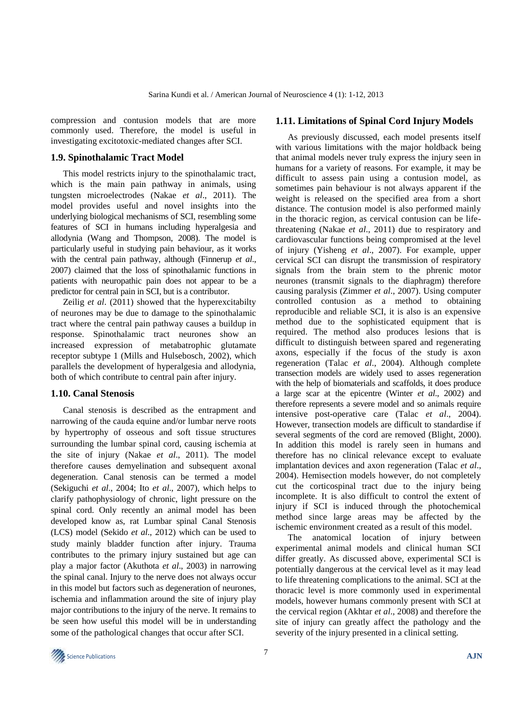compression and contusion models that are more commonly used. Therefore, the model is useful in investigating excitotoxic-mediated changes after SCI.

## **1.9. Spinothalamic Tract Model**

This model restricts injury to the spinothalamic tract, which is the main pain pathway in animals, using tungsten microelectrodes (Nakae *et al*., 2011). The model provides useful and novel insights into the underlying biological mechanisms of SCI, resembling some features of SCI in humans including hyperalgesia and allodynia (Wang and Thompson, 2008). The model is particularly useful in studying pain behaviour, as it works with the central pain pathway, although (Finnerup *et al*., 2007) claimed that the loss of spinothalamic functions in patients with neuropathic pain does not appear to be a predictor for central pain in SCI, but is a contributor.

Zeilig *et al*. (2011) showed that the hyperexcitabilty of neurones may be due to damage to the spinothalamic tract where the central pain pathway causes a buildup in response. Spinothalamic tract neurones show an increased expression of metabatrophic glutamate receptor subtype 1 (Mills and Hulsebosch, 2002), which parallels the development of hyperalgesia and allodynia, both of which contribute to central pain after injury.

#### **1.10. Canal Stenosis**

Canal stenosis is described as the entrapment and narrowing of the cauda equine and/or lumbar nerve roots by hypertrophy of osseous and soft tissue structures surrounding the lumbar spinal cord, causing ischemia at the site of injury (Nakae *et al*., 2011). The model therefore causes demyelination and subsequent axonal degeneration. Canal stenosis can be termed a model (Sekiguchi *et al*., 2004; Ito *et al*., 2007), which helps to clarify pathophysiology of chronic, light pressure on the spinal cord. Only recently an animal model has been developed know as, rat Lumbar spinal Canal Stenosis (LCS) model (Sekido *et al*., 2012) which can be used to study mainly bladder function after injury. Trauma contributes to the primary injury sustained but age can play a major factor (Akuthota *et al*., 2003) in narrowing the spinal canal. Injury to the nerve does not always occur in this model but factors such as degeneration of neurones, ischemia and inflammation around the site of injury play major contributions to the injury of the nerve. It remains to be seen how useful this model will be in understanding some of the pathological changes that occur after SCI.

## **1.11. Limitations of Spinal Cord Injury Models**

As previously discussed, each model presents itself with various limitations with the major holdback being that animal models never truly express the injury seen in humans for a variety of reasons. For example, it may be difficult to assess pain using a contusion model, as sometimes pain behaviour is not always apparent if the weight is released on the specified area from a short distance. The contusion model is also performed mainly in the thoracic region, as cervical contusion can be lifethreatening (Nakae *et al*., 2011) due to respiratory and cardiovascular functions being compromised at the level of injury (Yisheng *et al*., 2007). For example, upper cervical SCI can disrupt the transmission of respiratory signals from the brain stem to the phrenic motor neurones (transmit signals to the diaphragm) therefore causing paralysis (Zimmer *et al*., 2007). Using computer controlled contusion as a method to obtaining reproducible and reliable SCI, it is also is an expensive method due to the sophisticated equipment that is required. The method also produces lesions that is difficult to distinguish between spared and regenerating axons, especially if the focus of the study is axon regeneration (Talac *et al*., 2004). Although complete transection models are widely used to asses regeneration with the help of biomaterials and scaffolds, it does produce a large scar at the epicentre (Winter *et al*., 2002) and therefore represents a severe model and so animals require intensive post-operative care (Talac *et al*., 2004). However, transection models are difficult to standardise if several segments of the cord are removed (Blight, 2000). In addition this model is rarely seen in humans and therefore has no clinical relevance except to evaluate implantation devices and axon regeneration (Talac *et al*., 2004). Hemisection models however, do not completely cut the corticospinal tract due to the injury being incomplete. It is also difficult to control the extent of injury if SCI is induced through the photochemical method since large areas may be affected by the ischemic environment created as a result of this model.

The anatomical location of injury between experimental animal models and clinical human SCI differ greatly. As discussed above, experimental SCI is potentially dangerous at the cervical level as it may lead to life threatening complications to the animal. SCI at the thoracic level is more commonly used in experimental models, however humans commonly present with SCI at the cervical region (Akhtar *et al*., 2008) and therefore the site of injury can greatly affect the pathology and the severity of the injury presented in a clinical setting.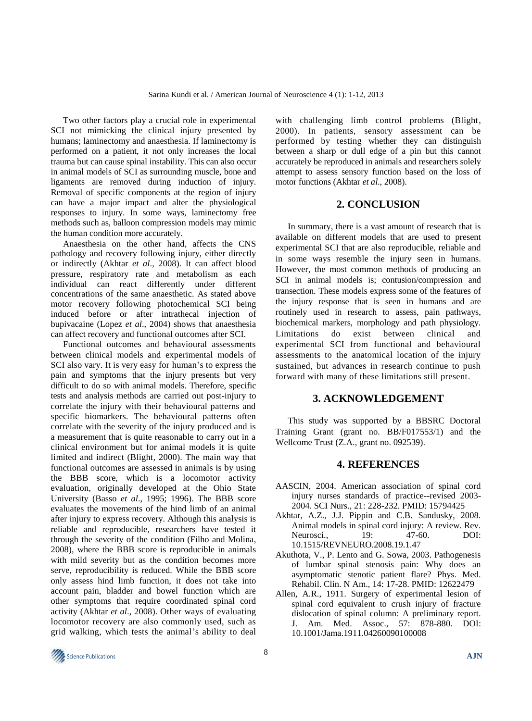Two other factors play a crucial role in experimental SCI not mimicking the clinical injury presented by humans; laminectomy and anaesthesia. If laminectomy is performed on a patient, it not only increases the local trauma but can cause spinal instability. This can also occur in animal models of SCI as surrounding muscle, bone and ligaments are removed during induction of injury. Removal of specific components at the region of injury can have a major impact and alter the physiological responses to injury. In some ways, laminectomy free methods such as, balloon compression models may mimic the human condition more accurately.

Anaesthesia on the other hand, affects the CNS pathology and recovery following injury, either directly or indirectly (Akhtar *et al*., 2008). It can affect blood pressure, respiratory rate and metabolism as each individual can react differently under different concentrations of the same anaesthetic. As stated above motor recovery following photochemical SCI being induced before or after intrathecal injection of bupivacaine (Lopez *et al*., 2004) shows that anaesthesia can affect recovery and functional outcomes after SCI.

Functional outcomes and behavioural assessments between clinical models and experimental models of SCI also vary. It is very easy for human's to express the pain and symptoms that the injury presents but very difficult to do so with animal models. Therefore, specific tests and analysis methods are carried out post-injury to correlate the injury with their behavioural patterns and specific biomarkers. The behavioural patterns often correlate with the severity of the injury produced and is a measurement that is quite reasonable to carry out in a clinical environment but for animal models it is quite limited and indirect (Blight, 2000). The main way that functional outcomes are assessed in animals is by using the BBB score, which is a locomotor activity evaluation, originally developed at the Ohio State University (Basso *et al*., 1995; 1996). The BBB score evaluates the movements of the hind limb of an animal after injury to express recovery. Although this analysis is reliable and reproducible, researchers have tested it through the severity of the condition (Filho and Molina, 2008), where the BBB score is reproducible in animals with mild severity but as the condition becomes more serve, reproducibility is reduced. While the BBB score only assess hind limb function, it does not take into account pain, bladder and bowel function which are other symptoms that require coordinated spinal cord activity (Akhtar *et al*., 2008). Other ways of evaluating locomotor recovery are also commonly used, such as grid walking, which tests the animal's ability to deal

with challenging limb control problems (Blight, 2000). In patients, sensory assessment can be performed by testing whether they can distinguish between a sharp or dull edge of a pin but this cannot accurately be reproduced in animals and researchers solely attempt to assess sensory function based on the loss of motor functions (Akhtar *et al*., 2008).

# **2. CONCLUSION**

In summary, there is a vast amount of research that is available on different models that are used to present experimental SCI that are also reproducible, reliable and in some ways resemble the injury seen in humans. However, the most common methods of producing an SCI in animal models is; contusion/compression and transection. These models express some of the features of the injury response that is seen in humans and are routinely used in research to assess, pain pathways, biochemical markers, morphology and path physiology. Limitations do exist between clinical and experimental SCI from functional and behavioural assessments to the anatomical location of the injury sustained, but advances in research continue to push forward with many of these limitations still present.

## **3. ACKNOWLEDGEMENT**

This study was supported by a BBSRC Doctoral Training Grant (grant no. BB/F017553/1) and the Wellcome Trust (Z.A., grant no. 092539).

# **4. REFERENCES**

- AASCIN, 2004. American association of spinal cord injury nurses standards of practice--revised 2003- 2004. SCI Nurs., 21: 228-232. PMID: 15794425
- Akhtar, A.Z., J.J. Pippin and C.B. Sandusky, 2008. Animal models in spinal cord injury: A review. Rev. Neurosci.. 19: 47-60. DOI: 10.1515/REVNEURO.2008.19.1.47
- Akuthota, V., P. Lento and G. Sowa, 2003. Pathogenesis of lumbar spinal stenosis pain: Why does an asymptomatic stenotic patient flare? Phys. Med. Rehabil. Clin. N Am., 14: 17-28. PMID: 12622479
- Allen, A.R., 1911. Surgery of experimental lesion of spinal cord equivalent to crush injury of fracture dislocation of spinal column: A preliminary report. J. Am. Med. Assoc., 57: 878-880. DOI: 10.1001/Jama.1911.04260090100008

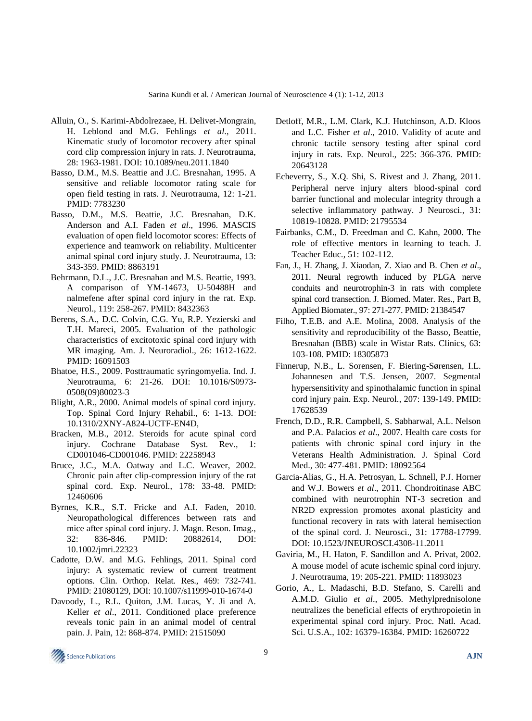- Alluin, O., S. Karimi-Abdolrezaee, H. Delivet-Mongrain, H. Leblond and M.G. Fehlings *et al*., 2011. Kinematic study of locomotor recovery after spinal cord clip compression injury in rats. J. Neurotrauma, 28: 1963-1981. DOI: 10.1089/neu.2011.1840
- Basso, D.M., M.S. Beattie and J.C. Bresnahan, 1995. A sensitive and reliable locomotor rating scale for open field testing in rats. J. Neurotrauma, 12: 1-21. PMID: 7783230
- Basso, D.M., M.S. Beattie, J.C. Bresnahan, D.K. Anderson and A.I. Faden *et al*., 1996. MASCIS evaluation of open field locomotor scores: Effects of experience and teamwork on reliability. Multicenter animal spinal cord injury study. J. Neurotrauma, 13: 343-359. PMID: 8863191
- Behrmann, D.L., J.C. Bresnahan and M.S. Beattie, 1993. A comparison of YM-14673, U-50488H and nalmefene after spinal cord injury in the rat. Exp. Neurol., 119: 258-267. PMID: 8432363
- Berens, S.A., D.C. Colvin, C.G. Yu, R.P. Yezierski and T.H. Mareci, 2005. Evaluation of the pathologic characteristics of excitotoxic spinal cord injury with MR imaging. Am. J. Neuroradiol., 26: 1612-1622. PMID: 16091503
- Bhatoe, H.S., 2009. Posttraumatic syringomyelia. Ind. J. Neurotrauma, 6: 21-26. DOI: 10.1016/S0973- 0508(09)80023-3
- Blight, A.R., 2000. Animal models of spinal cord injury. Top. Spinal Cord Injury Rehabil., 6: 1-13. DOI: 10.1310/2XNY-A824-UCTF-EN4D,
- Bracken, M.B., 2012. Steroids for acute spinal cord injury. Cochrane Database Syst. Rev., 1: CD001046-CD001046. PMID: 22258943
- Bruce, J.C., M.A. Oatway and L.C. Weaver, 2002. Chronic pain after clip-compression injury of the rat spinal cord. Exp. Neurol., 178: 33-48. PMID: 12460606
- Byrnes, K.R., S.T. Fricke and A.I. Faden, 2010. Neuropathological differences between rats and mice after spinal cord injury. J. Magn. Reson. Imag., 32: 836-846. PMID: 20882614, DOI: 10.1002/jmri.22323
- Cadotte, D.W. and M.G. Fehlings, 2011. Spinal cord injury: A systematic review of current treatment options. Clin. Orthop. Relat. Res., 469: 732-741. PMID: 21080129, DOI: 10.1007/s11999-010-1674-0
- Davoody, L., R.L. Quiton, J.M. Lucas, Y. Ji and A. Keller *et al*., 2011. Conditioned place preference reveals tonic pain in an animal model of central pain. J. Pain, 12: 868-874. PMID: 21515090
- Detloff, M.R., L.M. Clark, K.J. Hutchinson, A.D. Kloos and L.C. Fisher *et al*., 2010. Validity of acute and chronic tactile sensory testing after spinal cord injury in rats. Exp. Neurol., 225: 366-376. PMID: 20643128
- Echeverry, S., X.Q. Shi, S. Rivest and J. Zhang, 2011. Peripheral nerve injury alters blood-spinal cord barrier functional and molecular integrity through a selective inflammatory pathway. J Neurosci., 31: 10819-10828. PMID: 21795534
- Fairbanks, C.M., D. Freedman and C. Kahn, 2000. The role of effective mentors in learning to teach. J. Teacher Educ., 51: 102-112.
- Fan, J., H. Zhang, J. Xiaodan, Z. Xiao and B. Chen *et al*., 2011. Neural regrowth induced by PLGA nerve conduits and neurotrophin-3 in rats with complete spinal cord transection. J. Biomed. Mater. Res., Part B, Applied Biomater., 97: 271-277. PMID: 21384547
- Filho, T.E.B. and A.E. Molina, 2008. Analysis of the sensitivity and reproducibility of the Basso, Beattie, Bresnahan (BBB) scale in Wistar Rats. Clinics, 63: 103-108. PMID: 18305873
- Finnerup, N.B., L. Sorensen, F. Biering-Sørensen, I.L. Johannesen and T.S. Jensen, 2007. Segmental hypersensitivity and spinothalamic function in spinal cord injury pain. Exp. Neurol., 207: 139-149. PMID: 17628539
- French, D.D., R.R. Campbell, S. Sabharwal, A.L. Nelson and P.A. Palacios *et al*., 2007. Health care costs for patients with chronic spinal cord injury in the Veterans Health Administration. J. Spinal Cord Med., 30: 477-481. PMID: 18092564
- Garcia-Alias, G., H.A. Petrosyan, L. Schnell, P.J. Horner and W.J. Bowers *et al*., 2011. Chondroitinase ABC combined with neurotrophin NT-3 secretion and NR2D expression promotes axonal plasticity and functional recovery in rats with lateral hemisection of the spinal cord. J. Neurosci., 31: 17788-17799. DOI: 10.1523/JNEUROSCI.4308-11.2011
- Gaviria, M., H. Haton, F. Sandillon and A. Privat, 2002. A mouse model of acute ischemic spinal cord injury. J. Neurotrauma, 19: 205-221. PMID: 11893023
- Gorio, A., L. Madaschi, B.D. Stefano, S. Carelli and A.M.D. Giulio *et al*., 2005. Methylprednisolone neutralizes the beneficial effects of erythropoietin in experimental spinal cord injury. Proc. Natl. Acad. Sci. U.S.A., 102: 16379-16384. PMID: 16260722

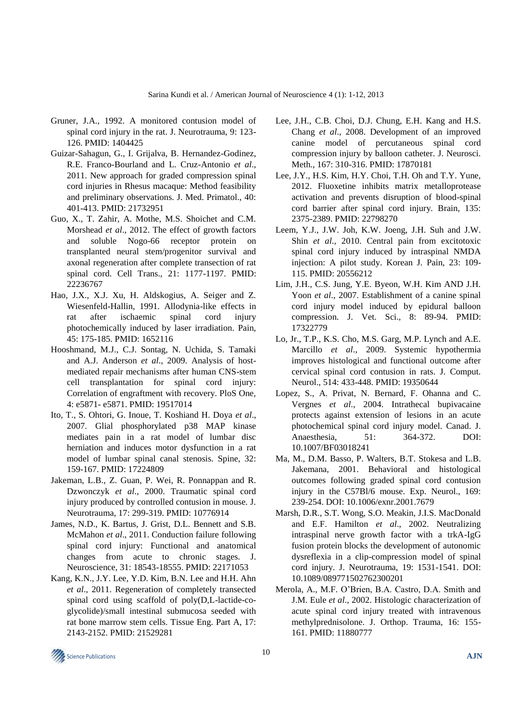- Gruner, J.A., 1992. A monitored contusion model of spinal cord injury in the rat. J. Neurotrauma, 9: 123- 126. PMID: 1404425
- Guizar-Sahagun, G., I. Grijalva, B. Hernandez-Godinez, R.E. Franco-Bourland and L. Cruz-Antonio *et al*., 2011. New approach for graded compression spinal cord injuries in Rhesus macaque: Method feasibility and preliminary observations. J. Med. Primatol., 40: 401-413. PMID: 21732951
- Guo, X., T. Zahir, A. Mothe, M.S. Shoichet and C.M. Morshead *et al*., 2012. The effect of growth factors and soluble Nogo-66 receptor protein on transplanted neural stem/progenitor survival and axonal regeneration after complete transection of rat spinal cord. Cell Trans., 21: 1177-1197. PMID: 22236767
- Hao, J.X., X.J. Xu, H. Aldskogius, A. Seiger and Z. Wiesenfeld-Hallin, 1991. Allodynia-like effects in rat after ischaemic spinal cord injury photochemically induced by laser irradiation. Pain, 45: 175-185. PMID: 1652116
- Hooshmand, M.J., C.J. Sontag, N. Uchida, S. Tamaki and A.J. Anderson *et al*., 2009. Analysis of hostmediated repair mechanisms after human CNS-stem cell transplantation for spinal cord injury: Correlation of engraftment with recovery. PloS One, 4: e5871- e5871. PMID: 19517014
- Ito, T., S. Ohtori, G. Inoue, T. Koshiand H. Doya *et al*., 2007. Glial phosphorylated p38 MAP kinase mediates pain in a rat model of lumbar disc herniation and induces motor dysfunction in a rat model of lumbar spinal canal stenosis. Spine, 32: 159-167. PMID: 17224809
- Jakeman, L.B., Z. Guan, P. Wei, R. Ponnappan and R. Dzwonczyk *et al*., 2000. Traumatic spinal cord injury produced by controlled contusion in mouse. J. Neurotrauma, 17: 299-319. PMID: 10776914
- James, N.D., K. Bartus, J. Grist, D.L. Bennett and S.B. McMahon *et al*., 2011. Conduction failure following spinal cord injury: Functional and anatomical changes from acute to chronic stages. J. Neuroscience, 31: 18543-18555. PMID: 22171053
- Kang, K.N., J.Y. Lee, Y.D. Kim, B.N. Lee and H.H. Ahn *et al*., 2011. Regeneration of completely transected spinal cord using scaffold of poly(D,L-lactide-coglycolide)/small intestinal submucosa seeded with rat bone marrow stem cells. Tissue Eng. Part A, 17: 2143-2152. PMID: 21529281
- Lee, J.H., C.B. Choi, D.J. Chung, E.H. Kang and H.S. Chang *et al*., 2008. Development of an improved canine model of percutaneous spinal cord compression injury by balloon catheter. J. Neurosci. Meth., 167: 310-316. PMID: 17870181
- Lee, J.Y., H.S. Kim, H.Y. Choi, T.H. Oh and T.Y. Yune, 2012. Fluoxetine inhibits matrix metalloprotease activation and prevents disruption of blood-spinal cord barrier after spinal cord injury. Brain, 135: 2375-2389. PMID: 22798270
- Leem, Y.J., J.W. Joh, K.W. Joeng, J.H. Suh and J.W. Shin *et al*., 2010. Central pain from excitotoxic spinal cord injury induced by intraspinal NMDA injection: A pilot study. Korean J. Pain, 23: 109- 115. PMID: 20556212
- Lim, J.H., C.S. Jung, Y.E. Byeon, W.H. Kim AND J.H. Yoon *et al*., 2007. Establishment of a canine spinal cord injury model induced by epidural balloon compression. J. Vet. Sci., 8: 89-94. PMID: 17322779
- Lo, Jr., T.P., K.S. Cho, M.S. Garg, M.P. Lynch and A.E. Marcillo *et al*., 2009. Systemic hypothermia improves histological and functional outcome after cervical spinal cord contusion in rats. J. Comput. Neurol., 514: 433-448. PMID: 19350644
- Lopez, S., A. Privat, N. Bernard, F. Ohanna and C. Vergnes *et al*., 2004. Intrathecal bupivacaine protects against extension of lesions in an acute photochemical spinal cord injury model. Canad. J. Anaesthesia, 51: 364-372. DOI: 10.1007/BF03018241
- Ma, M., D.M. Basso, P. Walters, B.T. Stokesa and L.B. Jakemana, 2001. Behavioral and histological outcomes following graded spinal cord contusion injury in the C57Bl/6 mouse. Exp. Neurol., 169: 239-254. DOI: 10.1006/exnr.2001.7679
- Marsh, D.R., S.T. Wong, S.O. Meakin, J.I.S. MacDonald and E.F. Hamilton *et al*., 2002. Neutralizing intraspinal nerve growth factor with a trkA-IgG fusion protein blocks the development of autonomic dysreflexia in a clip-compression model of spinal cord injury. J. Neurotrauma, 19: 1531-1541. DOI: 10.1089/089771502762300201
- Merola, A., M.F. O'Brien, B.A. Castro, D.A. Smith and J.M. Eule *et al*., 2002. Histologic characterization of acute spinal cord injury treated with intravenous methylprednisolone. J. Orthop. Trauma, 16: 155- 161. PMID: 11880777

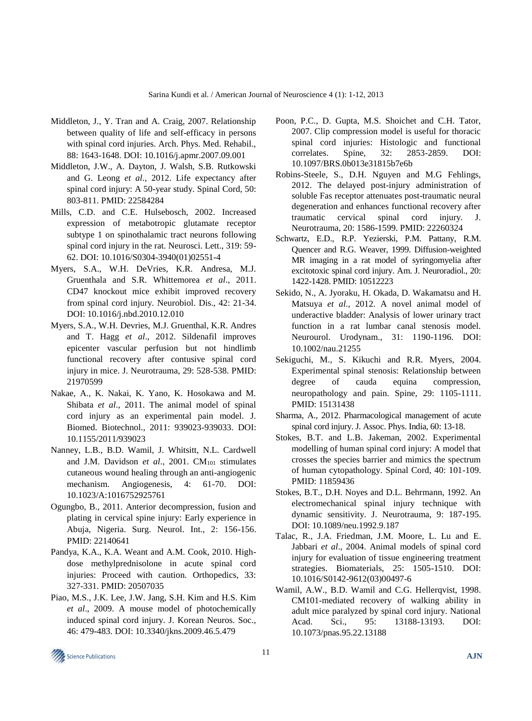- Middleton, J., Y. Tran and A. Craig, 2007. Relationship between quality of life and self-efficacy in persons with spinal cord injuries. Arch. Phys. Med. Rehabil., 88: 1643-1648. DOI: 10.1016/j.apmr.2007.09.001
- Middleton, J.W., A. Dayton, J. Walsh, S.B. Rutkowski and G. Leong *et al*., 2012. Life expectancy after spinal cord injury: A 50-year study. Spinal Cord, 50: 803-811. PMID: 22584284
- Mills, C.D. and C.E. Hulsebosch, 2002. Increased expression of metabotropic glutamate receptor subtype 1 on spinothalamic tract neurons following spinal cord injury in the rat. Neurosci. Lett., 319: 59- 62. DOI: 10.1016/S0304-3940(01)02551-4
- Myers, S.A., W.H. DeVries, K.R. Andresa, M.J. Gruenthala and S.R. Whittemorea *et al*., 2011. CD47 knockout mice exhibit improved recovery from spinal cord injury. Neurobiol. Dis., 42: 21-34. DOI: 10.1016/j.nbd.2010.12.010
- Myers, S.A., W.H. Devries, M.J. Gruenthal, K.R. Andres and T. Hagg *et al*., 2012. Sildenafil improves epicenter vascular perfusion but not hindlimb functional recovery after contusive spinal cord injury in mice. J. Neurotrauma, 29: 528-538. PMID: 21970599
- Nakae, A., K. Nakai, K. Yano, K. Hosokawa and M. Shibata *et al*., 2011. The animal model of spinal cord injury as an experimental pain model. J. Biomed. Biotechnol., 2011: 939023-939033. DOI: 10.1155/2011/939023
- Nanney, L.B., B.D. Wamil, J. Whitsitt, N.L. Cardwell and J.M. Davidson et al., 2001. CM<sub>101</sub> stimulates cutaneous wound healing through an anti-angiogenic mechanism. Angiogenesis, 4: 61-70. DOI: 10.1023/A:1016752925761
- Ogungbo, B., 2011. Anterior decompression, fusion and plating in cervical spine injury: Early experience in Abuja, Nigeria. Surg. Neurol. Int., 2: 156-156. PMID: 22140641
- Pandya, K.A., K.A. Weant and A.M. Cook, 2010. Highdose methylprednisolone in acute spinal cord injuries: Proceed with caution. Orthopedics, 33: 327-331. PMID: 20507035
- Piao, M.S., J.K. Lee, J.W. Jang, S.H. Kim and H.S. Kim *et al*., 2009. A mouse model of photochemically induced spinal cord injury. J. Korean Neuros. Soc., 46: 479-483. DOI: 10.3340/jkns.2009.46.5.479
- Poon, P.C., D. Gupta, M.S. Shoichet and C.H. Tator, 2007. Clip compression model is useful for thoracic spinal cord injuries: Histologic and functional correlates. Spine, 32: 2853-2859. DOI: 10.1097/BRS.0b013e31815b7e6b
- Robins-Steele, S., D.H. Nguyen and M.G Fehlings, 2012. The delayed post-injury administration of soluble Fas receptor attenuates post-traumatic neural degeneration and enhances functional recovery after traumatic cervical spinal cord injury. J. Neurotrauma, 20: 1586-1599. PMID: 22260324
- Schwartz, E.D., R.P. Yezierski, P.M. Pattany, R.M. Quencer and R.G. Weaver, 1999. Diffusion-weighted MR imaging in a rat model of syringomyelia after excitotoxic spinal cord injury. Am. J. Neuroradiol., 20: 1422-1428. PMID: 10512223
- Sekido, N., A. Jyoraku, H. Okada, D. Wakamatsu and H. Matsuya *et al*., 2012. A novel animal model of underactive bladder: Analysis of lower urinary tract function in a rat lumbar canal stenosis model. Neurourol. Urodynam., 31: 1190-1196. DOI: 10.1002/nau.21255
- Sekiguchi, M., S. Kikuchi and R.R. Myers, 2004. Experimental spinal stenosis: Relationship between degree of cauda equina compression, neuropathology and pain. Spine, 29: 1105-1111. PMID: 15131438
- Sharma, A., 2012. Pharmacological management of acute spinal cord injury. J. Assoc. Phys. India, 60: 13-18.
- Stokes, B.T. and L.B. Jakeman, 2002. Experimental modelling of human spinal cord injury: A model that crosses the species barrier and mimics the spectrum of human cytopathology. Spinal Cord, 40: 101-109. PMID: 11859436
- Stokes, B.T., D.H. Noyes and D.L. Behrmann, 1992. An electromechanical spinal injury technique with dynamic sensitivity. J. Neurotrauma, 9: 187-195. DOI: 10.1089/neu.1992.9.187
- Talac, R., J.A. Friedman, J.M. Moore, L. Lu and E. Jabbari *et al*., 2004. Animal models of spinal cord injury for evaluation of tissue engineering treatment strategies. Biomaterials, 25: 1505-1510. DOI: 10.1016/S0142-9612(03)00497-6
- Wamil, A.W., B.D. Wamil and C.G. Hellerqvist, 1998. CM101-mediated recovery of walking ability in adult mice paralyzed by spinal cord injury. National Acad. Sci., 95: 13188-13193. DOI: 10.1073/pnas.95.22.13188